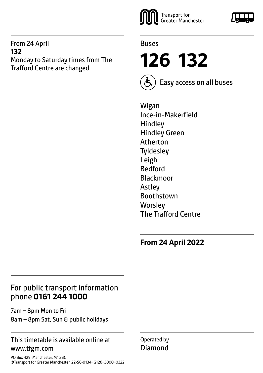#### From 24 April **132** Monday to Saturday times from The Trafford Centre are changed





**126 132**



Easy access on all buses

Wigan Ince-in-Makerfield Hindley Hindley Green Atherton **Tyldesley** Leigh Bedford Blackmoor Astley Boothstown **Worsley** The Trafford Centre

**From 24 April 2022**

### For public transport information phone **0161 244 1000**

7am – 8pm Mon to Fri 8am – 8pm Sat, Sun & public holidays

### This timetable is available online at www.tfgm.com

PO Box 429, Manchester, M1 3BG ©Transport for Greater Manchester 22-SC-0134–G126–3000–0322 Operated by Diamond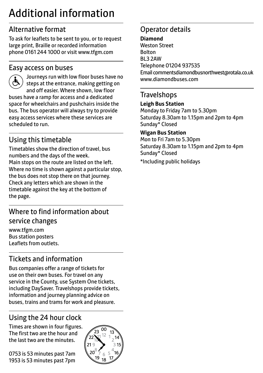# Additional information

### Alternative format

To ask for leaflets to be sent to you, or to request large print, Braille or recorded information phone 0161 244 1000 or visit www.tfgm.com

### Easy access on buses



 Journeys run with low floor buses have no steps at the entrance, making getting on and off easier. Where shown, low floor buses have a ramp for access and a dedicated space for wheelchairs and pushchairs inside the bus. The bus operator will always try to provide easy access services where these services are scheduled to run.

### Using this timetable

Timetables show the direction of travel, bus numbers and the days of the week. Main stops on the route are listed on the left. Where no time is shown against a particular stop, the bus does not stop there on that journey. Check any letters which are shown in the timetable against the key at the bottom of the page.

### Where to find information about service changes

www.tfgm.com Bus station posters Leaflets from outlets.

### Tickets and information

Bus companies offer a range of tickets for use on their own buses. For travel on any service in the County, use System One tickets, including DaySaver. Travelshops provide tickets, information and journey planning advice on buses, trains and trams for work and pleasure.

## Using the 24 hour clock

Times are shown in four figures. The first two are the hour and the last two are the minutes.

0753 is 53 minutes past 7am 1953 is 53 minutes past 7pm



### Operator details

#### **Diamond**

Weston Street Bolton BL3 2AW Telephone 01204 937535 Email commentsdiamondbusnorthwest@rotala.co.uk www.diamondbuses.com

### **Travelshops**

#### **Leigh Bus Station**

Monday to Friday 7am to 5.30pm Saturday 8.30am to 1.15pm and 2pm to 4pm Sunday\* Closed

#### **Wigan Bus Station**

Mon to Fri 7am to 5.30pm Saturday 8.30am to 1.15pm and 2pm to 4pm Sunday\* Closed

\*Including public holidays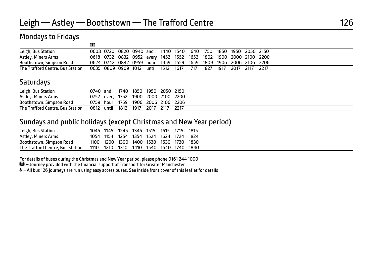M

### Mondays to Fridays

|                                  | שע                                                                |  |  |  |  |  |                                                                   |  |
|----------------------------------|-------------------------------------------------------------------|--|--|--|--|--|-------------------------------------------------------------------|--|
| Leigh, Bus Station               |                                                                   |  |  |  |  |  | 0608 0720 0820 0940 and 1440 1540 1640 1750 1850 1950 2050 2150   |  |
| Astley, Miners Arms              |                                                                   |  |  |  |  |  | 0618 0732 0832 0952 every 1452 1552 1652 1802 1900 2000 2100 2200 |  |
| Boothstown, Simpson Road         |                                                                   |  |  |  |  |  | 0624 0742 0842 0959 hour 1459 1559 1659 1809 1906 2006 2106 2206  |  |
| The Trafford Centre, Bus Station | 0635 0809 0909 1012 until 1512 1617 1717 1827 1917 2017 2117 2217 |  |  |  |  |  |                                                                   |  |

### **Saturdays**

| Leigh, Bus Station               | 0740 and                            |  | 1740 1850 1950 2050 2150 |      |
|----------------------------------|-------------------------------------|--|--------------------------|------|
| Astley, Miners Arms              | 0752 every 1752 1900 2000 2100 2200 |  |                          |      |
| Boothstown, Simpson Road         | 0759 hour 1759 1906 2006 2106 2206  |  |                          |      |
| The Trafford Centre, Bus Station | 0812 until 1812 1917 2017 2117      |  |                          | 2217 |

#### Sundays and public holidays (except Christmas and New Year period)

| Leigh, Bus Station               |      | 1045 1145 1245 1345 1515 1615 1715 |      |                | 1815   |  |
|----------------------------------|------|------------------------------------|------|----------------|--------|--|
| Astley, Miners Arms              |      | 1054 1154 1254 1354 1524           |      | 1624 1724      | - 1824 |  |
| Boothstown, Simpson Road         |      | 1100 1200 1300 1400 1530           |      | 1630 1730 1830 |        |  |
| The Trafford Centre, Bus Station | 1110 | 1210 1310 1410                     | 1540 | 1640 1740      | 1840   |  |

For details of buses during the Christmas and New Year period, please phone 0161 244 1000

M – Journey provided with the financial support of Transport for Greater Manchester

& - All bus 126 journeys are run using easy access buses. See inside front cover of this leaflet for details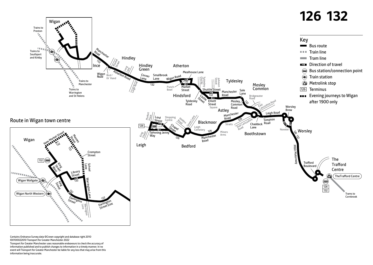

Contains Ordnance Survey data ©Crown copyright and database right 2010 ©0100022610 Transport for Greater Manchester 2022 Transport for Greater Manchester uses reasonable endeavours to check the accuracy of information published and to publish changes to information in a timely manner. In no event will Transport for Greater Manchester be liable for any loss that may arise from this information being inaccurate.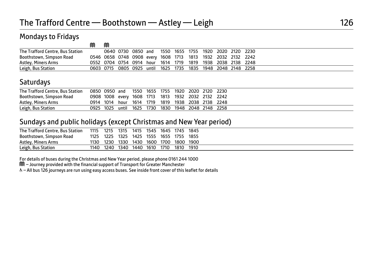### Mondays to Fridays

|                                  | M | M |  |  |  |                                                              |  |                                                              |  |
|----------------------------------|---|---|--|--|--|--------------------------------------------------------------|--|--------------------------------------------------------------|--|
| The Trafford Centre, Bus Station |   |   |  |  |  |                                                              |  | 0640 0730 0850 and 1550 1655 1755 1920 2020 2120 2230        |  |
| Boothstown, Simpson Road         |   |   |  |  |  | 0546 0658 0748 0908 every 1608 1713 1813 1932 2032 2132 2242 |  |                                                              |  |
| Astley, Miners Arms              |   |   |  |  |  | 0552 0704 0754 0914 hour 1614 1719 1819 1938 2038 2138 2248  |  |                                                              |  |
| Leigh, Bus Station               |   |   |  |  |  |                                                              |  | 0603 0715 0805 0925 until 1625 1735 1835 1948 2048 2148 2258 |  |

### **Saturdays**

| The Trafford Centre, Bus Station | 0850 0950 and 1550 1655 1755 1920 2020 2120 2230 |           |                                          |  |  |                                                    |
|----------------------------------|--------------------------------------------------|-----------|------------------------------------------|--|--|----------------------------------------------------|
| Boothstown, Simpson Road         |                                                  |           |                                          |  |  | 0908 1008 every 1608 1713 1813 1932 2032 2132 2242 |
| Astley, Miners Arms              |                                                  |           |                                          |  |  | 0914 1014 hour 1614 1719 1819 1938 2038 2138 2248  |
| Leigh, Bus Station               |                                                  | 0925 1025 | until 1625 1730 1830 1948 2048 2148 2258 |  |  |                                                    |

#### Sundays and public holidays (except Christmas and New Year period)

| The Trafford Centre, Bus Station | 1115 | 1215 | 1315 | 1415      | 1545 1645 1745 |      |      | 1845                          |  |
|----------------------------------|------|------|------|-----------|----------------|------|------|-------------------------------|--|
| Boothstown, Simpson Road         | 1125 | 1225 | 1325 | 1425      | 1555 1655 1755 |      |      | 1855                          |  |
| Astley, Miners Arms              | 1130 | 1230 |      |           |                |      |      | 1330 1430 1600 1700 1800 1900 |  |
| Leigh, Bus Station               | 1140 | 1240 |      | 1340 1440 | 1610           | 1710 | 1810 | 1910                          |  |

For details of buses during the Christmas and New Year period, please phone 0161 244 1000

M – Journey provided with the financial support of Transport for Greater Manchester

W– All bus 126 journeys are run using easy access buses. See inside front cover of this leaflet for details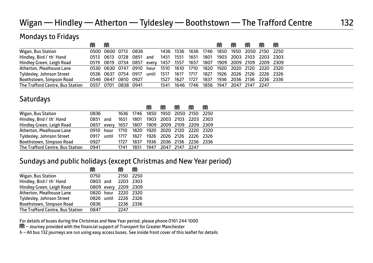### Wigan — Hindley — Atherton — Tyldesley — Boothstown — The Trafford Centre 132

| <b>Mondays to Fridays</b>        |      |                     |           |           |       |      |      |      |      |      |                |           |                |   |
|----------------------------------|------|---------------------|-----------|-----------|-------|------|------|------|------|------|----------------|-----------|----------------|---|
|                                  | M    | M                   |           |           |       |      |      |      |      |      | M              |           | M              | M |
| Wigan, Bus Station               |      | 0500 0600 0713      |           | 0836      |       | 1436 | 1536 | 1636 | 1746 | 1850 | 1950           |           | 2050 2150 2250 |   |
| Hindley, Bird i' th' Hand        |      | 0513 0613 0728      |           | 0851      | and   | 1451 | 1551 | 1651 | 1801 | 1903 | 2003 2103      |           | 2203 2303      |   |
| Hindley Green, Leigh Road        |      | 0519 0619 0734      |           | 0857      | every | 1457 | 1557 | 1657 | 1807 |      | 1909 2009 2109 |           | 2209 2309      |   |
| Atherton, Mealhouse Lane         |      | 0530 0630 0747      |           | 0910      | hour  | 1510 | 1610 | 1710 | 1820 | 1920 | 2020           | - 2120    | 2220 2320      |   |
| Tyldesley, Johnson Street        |      | 0536 0637 0754 0917 |           |           | until | 1517 | 1617 | 1717 | 1827 | 1926 |                | 2026 2126 | 2226 2326      |   |
| Boothstown, Simpson Road         |      | 0546 0647           | 0810 0927 |           |       | 1527 | 1627 | 1727 | 1837 | 1936 | 2036           | 2136      | 2236 2336      |   |
| The Trafford Centre, Bus Station | 0557 | 0701                |           | 0838 0941 |       | 1541 | 1646 | 1746 | 1856 | 1947 | 2047           | 2147      | - 2247         |   |

### **Saturdays**

|                                  |            |      |           | ⋒    | M    |      | M    | M                                             |  |
|----------------------------------|------------|------|-----------|------|------|------|------|-----------------------------------------------|--|
| Wigan, Bus Station               | 0836       |      | 1636 1746 | 1850 | 1950 |      |      | 2050 2150 2250                                |  |
| Hindley, Bird i' th' Hand        | 0851 and   | 1651 | 1801      | 1903 |      |      |      | 2003 2103 2203 2303                           |  |
| Hindley Green, Leigh Road        |            |      |           |      |      |      |      | 0857 every 1657 1807 1909 2009 2109 2209 2309 |  |
| Atherton, Mealhouse Lane         | 0910 hour  | 1710 | 1820      | 1920 |      |      |      | 2020 2120 2220 2320                           |  |
| Tyldesley, Johnson Street        | 0917 until | 1717 | 1827      |      |      |      |      | 1926 2026 2126 2226 2326                      |  |
| Boothstown, Simpson Road         | 0927       | 1727 | 1837      | 1936 |      |      |      | 2036 2136 2236 2336                           |  |
| The Trafford Centre, Bus Station | 0941       | 1741 | 1851      | 1947 | 2047 | 2147 | 2247 |                                               |  |

#### Sundays and public holidays (except Christmas and New Year period)

|                                  | M                    | M         | M |
|----------------------------------|----------------------|-----------|---|
| Wigan, Bus Station               | 0750                 | 2150 2250 |   |
| Hindley, Bird i' th' Hand        | 0803 and             | 2203 2303 |   |
| Hindley Green, Leigh Road        | 0809 every 2209 2309 |           |   |
| Atherton, Mealhouse Lane         | 0820 hour 2220 2320  |           |   |
| Tyldesley, Johnson Street        | 0826 until 2226 2326 |           |   |
| Boothstown, Simpson Road         | 0836                 | 2236 2336 |   |
| The Trafford Centre, Bus Station | 0847                 | 2247      |   |

For details of buses during the Christmas and New Year period, please phone 0161 244 1000

M – Journey provided with the financial support of Transport for Greater Manchester

W– All bus 132 journeys are run using easy access buses. See inside front cover of this leaflet for details